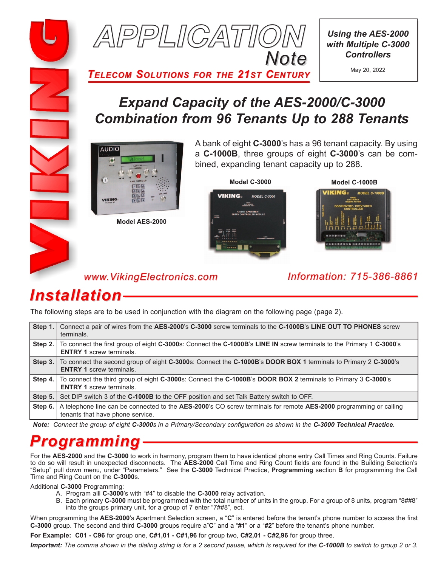



*Using the AES-2000 with Multiple C-3000 Controllers*

May 20, 2022

*TELECOM SOLUTIONS FOR THE 21ST CENTURY*

### *Expand Capacity of the AES-2000/C-3000 Combination from 96 Tenants Up to 288 Tenants*



**Model AES-2000**

A bank of eight **C-3000**'s has a 96 tenant capacity. By using a **C-1000B**, three groups of eight **C-3000**'s can be combined, expanding tenant capacity up to 288.





#### *www.VikingElectronics.com Information: 715-386-8861*

## *Installation*

The following steps are to be used in conjunction with the diagram on the following page (page 2).

| Step 1. | Connect a pair of wires from the AES-2000's C-3000 screw terminals to the C-1000B's LINE OUT TO PHONES screw<br>terminals.                              |
|---------|---------------------------------------------------------------------------------------------------------------------------------------------------------|
| Step 2. | To connect the first group of eight C-3000s: Connect the C-1000B's LINE IN screw terminals to the Primary 1 C-3000's<br><b>ENTRY 1 screw terminals.</b> |
| Step 3. | To connect the second group of eight C-3000s: Connect the C-1000B's DOOR BOX 1 terminals to Primary 2 C-3000's<br><b>ENTRY 1 screw terminals.</b>       |
| Step 4. | To connect the third group of eight C-3000s: Connect the C-1000B's DOOR BOX 2 terminals to Primary 3 C-3000's<br><b>ENTRY 1 screw terminals.</b>        |
| Step 5. | Set DIP switch 3 of the C-1000B to the OFF position and set Talk Battery switch to OFF.                                                                 |
| Step 6. | A telephone line can be connected to the AES-2000's CO screw terminals for remote AES-2000 programming or calling<br>tenants that have phone service.   |

*Note: Connect the group of eight C-3000s in a Primary/Secondary configuration as shown in the C-3000 Technical Practice.*

# *Programming*

For the **AES-2000** and the **C-3000** to work in harmony, program them to have identical phone entry Call Times and Ring Counts. Failure to do so will result in unexpected disconnects. The **AES-2000** Call Time and Ring Count fields are found in the Building Selection's "Setup" pull down menu, under "Parameters." See the **C-3000** Technical Practice, **Programming** section **B** for programming the Call Time and Ring Count on the **C-3000**s.

Additional **C-3000** Programming:

- A. Program alll **C-3000**'s with "#4" to disable the **C-3000** relay activation.
- B. Each primary **C-3000** must be programmed with the total number of units in the group. For a group of 8 units, program "8##8" into the groups primary unit, for a group of 7 enter "7##8", ect.

When programming the **AES-2000**'s Apartment Selection screen, a "**C**" is entered before the tenant's phone number to access the first **C-3000** group. The second and third **C-3000** groups require a"**C**" and a "**#1**" or a "**#2**" before the tenant's phone number.

**For Example: C01 - C96** for group one, **C#1,01 - C#1,96** for group two, **C#2,01 - C#2,96** for group three.

*Important:* The comma shown in the dialing string is for a 2 second pause, which is required for the C-1000B to switch to group 2 or 3.